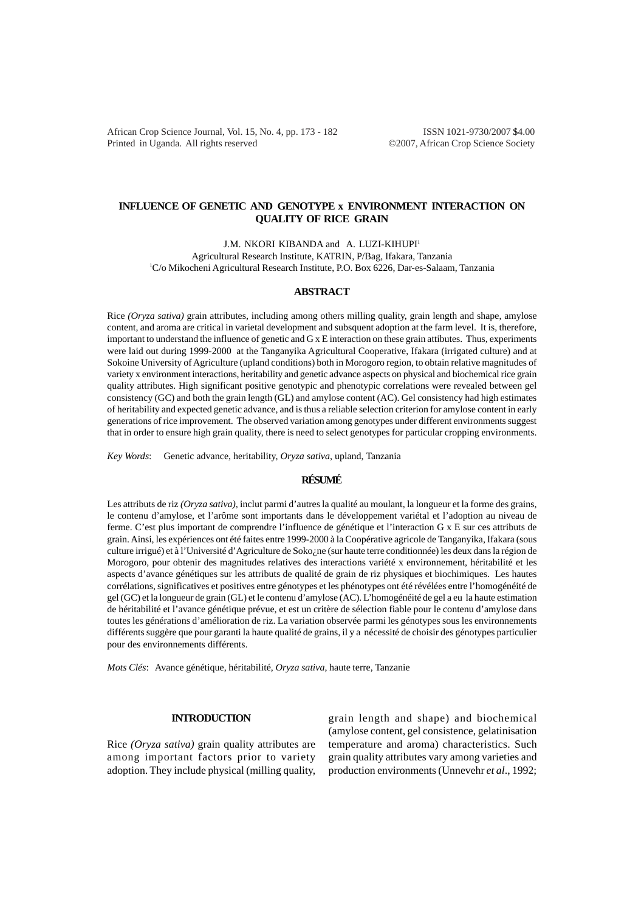African Crop Science Journal, Vol. 15, No. 4, pp. 173 - 182 ISSN 1021-9730/2007 \$4.00 Printed in Uganda. All rights reserved ©2007, African Crop Science Society

# **INFLUENCE OF GENETIC AND GENOTYPE x ENVIRONMENT INTERACTION ON QUALITY OF RICE GRAIN**

J.M. NKORI KIBANDA and A. LUZI-KIHUPI<sup>1</sup> Agricultural Research Institute, KATRIN, P/Bag, Ifakara, Tanzania 1 C/o Mikocheni Agricultural Research Institute, P.O. Box 6226, Dar-es-Salaam, Tanzania

## **ABSTRACT**

Rice *(Oryza sativa)* grain attributes, including among others milling quality, grain length and shape, amylose content, and aroma are critical in varietal development and subsquent adoption at the farm level. It is, therefore, important to understand the influence of genetic and  $G \times E$  interaction on these grain attibutes. Thus, experiments were laid out during 1999-2000 at the Tanganyika Agricultural Cooperative, Ifakara (irrigated culture) and at Sokoine University of Agriculture (upland conditions) both in Morogoro region, to obtain relative magnitudes of variety x environment interactions, heritability and genetic advance aspects on physical and biochemical rice grain quality attributes. High significant positive genotypic and phenotypic correlations were revealed between gel consistency (GC) and both the grain length (GL) and amylose content (AC). Gel consistency had high estimates of heritability and expected genetic advance, and is thus a reliable selection criterion for amylose content in early generations of rice improvement. The observed variation among genotypes under different environments suggest that in order to ensure high grain quality, there is need to select genotypes for particular cropping environments.

*Key Words*: Genetic advance, heritability, *Oryza sativa*, upland, Tanzania

## **RÉSUMÉ**

Les attributs de riz *(Oryza sativa),* inclut parmi d'autres la qualité au moulant, la longueur et la forme des grains, le contenu d'amylose, et l'arôme sont importants dans le développement variétal et l'adoption au niveau de ferme. C'est plus important de comprendre l'influence de génétique et l'interaction G x E sur ces attributs de grain. Ainsi, les expériences ont été faites entre 1999-2000 à la Coopérative agricole de Tanganyika, Ifakara (sous culture irrigué) et à l'Université d'Agriculture de Soko¿ne (sur haute terre conditionnée) les deux dans la région de Morogoro, pour obtenir des magnitudes relatives des interactions variété x environnement, héritabilité et les aspects d'avance génétiques sur les attributs de qualité de grain de riz physiques et biochimiques. Les hautes corrélations, significatives et positives entre génotypes et les phénotypes ont été révélées entre l'homogénéité de gel (GC) et la longueur de grain (GL) et le contenu d'amylose (AC). L'homogénéité de gel a eu la haute estimation de héritabilité et l'avance génétique prévue, et est un critère de sélection fiable pour le contenu d'amylose dans toutes les générations d'amélioration de riz. La variation observée parmi les génotypes sous les environnements différents suggère que pour garanti la haute qualité de grains, il y a nécessité de choisir des génotypes particulier pour des environnements différents.

*Mots Clés*: Avance génétique, héritabilité, *Oryza sativa*, haute terre, Tanzanie

## **INTRODUCTION**

Rice *(Oryza sativa)* grain quality attributes are among important factors prior to variety adoption. They include physical (milling quality,

grain length and shape) and biochemical (amylose content, gel consistence, gelatinisation temperature and aroma) characteristics. Such grain quality attributes vary among varieties and production environments (Unnevehr *et al*., 1992;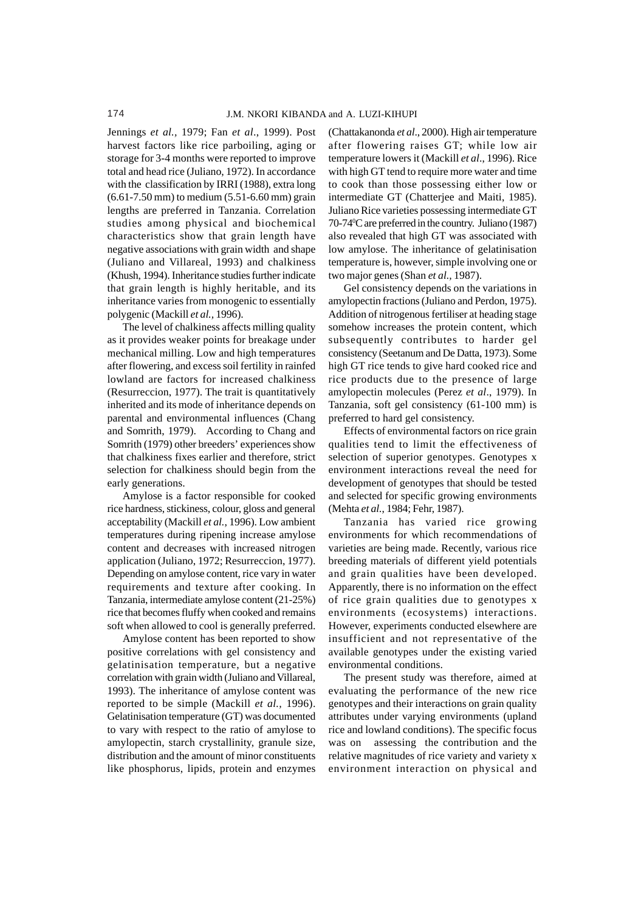Jennings *et al.,* 1979; Fan *et al*., 1999). Post harvest factors like rice parboiling, aging or storage for 3-4 months were reported to improve total and head rice (Juliano, 1972). In accordance with the classification by IRRI (1988), extra long (6.61-7.50 mm) to medium (5.51-6.60 mm) grain lengths are preferred in Tanzania. Correlation studies among physical and biochemical characteristics show that grain length have negative associations with grain width and shape (Juliano and Villareal, 1993) and chalkiness (Khush, 1994). Inheritance studies further indicate that grain length is highly heritable, and its inheritance varies from monogenic to essentially polygenic (Mackill *et al.,* 1996).

The level of chalkiness affects milling quality as it provides weaker points for breakage under mechanical milling. Low and high temperatures after flowering, and excess soil fertility in rainfed lowland are factors for increased chalkiness (Resurreccion, 1977). The trait is quantitatively inherited and its mode of inheritance depends on parental and environmental influences (Chang and Somrith, 1979). According to Chang and Somrith (1979) other breeders' experiences show that chalkiness fixes earlier and therefore, strict selection for chalkiness should begin from the early generations.

Amylose is a factor responsible for cooked rice hardness, stickiness, colour, gloss and general acceptability (Mackill *et al.*, 1996). Low ambient temperatures during ripening increase amylose content and decreases with increased nitrogen application (Juliano, 1972; Resurreccion, 1977). Depending on amylose content, rice vary in water requirements and texture after cooking. In Tanzania, intermediate amylose content (21-25%) rice that becomes fluffy when cooked and remains soft when allowed to cool is generally preferred.

Amylose content has been reported to show positive correlations with gel consistency and gelatinisation temperature, but a negative correlation with grain width (Juliano and Villareal, 1993). The inheritance of amylose content was reported to be simple (Mackill *et al.,* 1996). Gelatinisation temperature (GT) was documented to vary with respect to the ratio of amylose to amylopectin, starch crystallinity, granule size, distribution and the amount of minor constituents like phosphorus, lipids, protein and enzymes

(Chattakanonda *et al*., 2000). High air temperature after flowering raises GT; while low air temperature lowers it (Mackill *et al*., 1996). Rice with high GT tend to require more water and time to cook than those possessing either low or intermediate GT (Chatterjee and Maiti, 1985). Juliano Rice varieties possessing intermediate GT 70-74<sup>o</sup>C are preferred in the country. Juliano (1987) also revealed that high GT was associated with low amylose. The inheritance of gelatinisation temperature is, however, simple involving one or two major genes (Shan *et al.,* 1987).

Gel consistency depends on the variations in amylopectin fractions (Juliano and Perdon, 1975). Addition of nitrogenous fertiliser at heading stage somehow increases the protein content, which subsequently contributes to harder gel consistency (Seetanum and De Datta, 1973). Some high GT rice tends to give hard cooked rice and rice products due to the presence of large amylopectin molecules (Perez *et al*., 1979). In Tanzania, soft gel consistency (61-100 mm) is preferred to hard gel consistency.

Effects of environmental factors on rice grain qualities tend to limit the effectiveness of selection of superior genotypes. Genotypes x environment interactions reveal the need for development of genotypes that should be tested and selected for specific growing environments (Mehta *et al.*, 1984; Fehr, 1987).

Tanzania has varied rice growing environments for which recommendations of varieties are being made. Recently, various rice breeding materials of different yield potentials and grain qualities have been developed. Apparently, there is no information on the effect of rice grain qualities due to genotypes x environments (ecosystems) interactions. However, experiments conducted elsewhere are insufficient and not representative of the available genotypes under the existing varied environmental conditions.

The present study was therefore, aimed at evaluating the performance of the new rice genotypes and their interactions on grain quality attributes under varying environments (upland rice and lowland conditions). The specific focus was on assessing the contribution and the relative magnitudes of rice variety and variety x environment interaction on physical and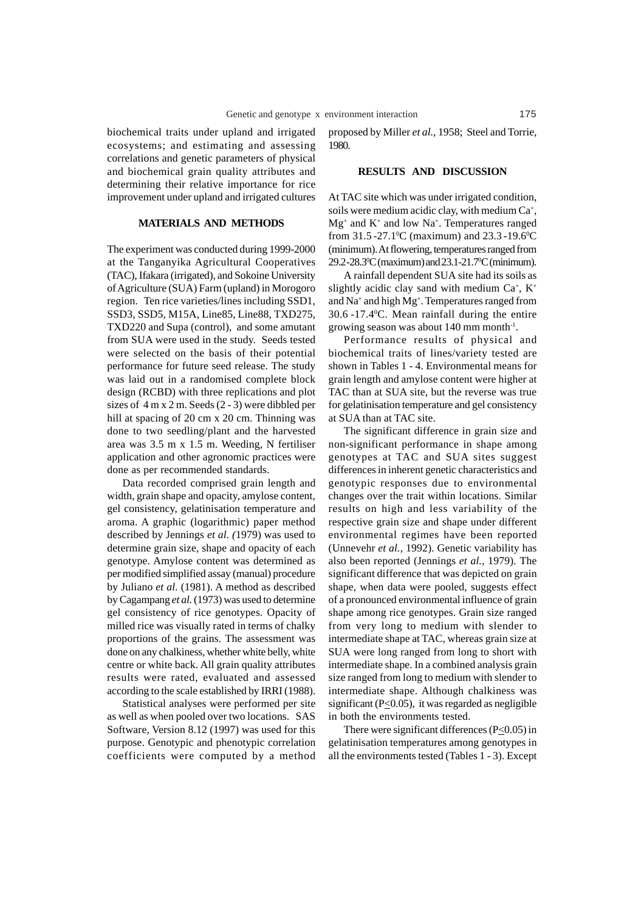biochemical traits under upland and irrigated ecosystems; and estimating and assessing correlations and genetic parameters of physical and biochemical grain quality attributes and determining their relative importance for rice improvement under upland and irrigated cultures

#### **MATERIALS AND METHODS**

The experiment was conducted during 1999-2000 at the Tanganyika Agricultural Cooperatives (TAC), Ifakara (irrigated), and Sokoine University of Agriculture (SUA) Farm (upland) in Morogoro region. Ten rice varieties/lines including SSD1, SSD3, SSD5, M15A, Line85, Line88, TXD275, TXD220 and Supa (control), and some amutant from SUA were used in the study. Seeds tested were selected on the basis of their potential performance for future seed release. The study was laid out in a randomised complete block design (RCBD) with three replications and plot sizes of 4 m x 2 m. Seeds (2 - 3) were dibbled per hill at spacing of 20 cm x 20 cm. Thinning was done to two seedling/plant and the harvested area was 3.5 m x 1.5 m. Weeding, N fertiliser application and other agronomic practices were done as per recommended standards.

Data recorded comprised grain length and width, grain shape and opacity, amylose content, gel consistency, gelatinisation temperature and aroma. A graphic (logarithmic) paper method described by Jennings *et al. (*1979) was used to determine grain size, shape and opacity of each genotype. Amylose content was determined as per modified simplified assay (manual) procedure by Juliano *et al.* (1981). A method as described by Cagampang *et al.* (1973) was used to determine gel consistency of rice genotypes. Opacity of milled rice was visually rated in terms of chalky proportions of the grains. The assessment was done on any chalkiness, whether white belly, white centre or white back. All grain quality attributes results were rated, evaluated and assessed according to the scale established by IRRI (1988).

Statistical analyses were performed per site as well as when pooled over two locations. SAS Software, Version 8.12 (1997) was used for this purpose. Genotypic and phenotypic correlation coefficients were computed by a method proposed by Miller *et al.*, 1958; Steel and Torrie, 1980.

# **RESULTS AND DISCUSSION**

At TAC site which was under irrigated condition, soils were medium acidic clay, with medium Ca<sup>+</sup>,  $Mg<sup>+</sup>$  and  $K<sup>+</sup>$  and low Na<sup>+</sup>. Temperatures ranged from  $31.5 - 27.1$ <sup>o</sup>C (maximum) and  $23.3 - 19.6$ <sup>o</sup>C (minimum). At flowering, temperatures ranged from 29.2-28.30 C (maximum) and 23.1-21.70 C (minimum).

A rainfall dependent SUA site had its soils as slightly acidic clay sand with medium  $Ca^+$ ,  $K^+$ and Na<sup>+</sup> and high Mg<sup>+</sup>. Temperatures ranged from 30.6 -17.40 C. Mean rainfall during the entire growing season was about 140 mm month-1.

Performance results of physical and biochemical traits of lines/variety tested are shown in Tables 1 - 4. Environmental means for grain length and amylose content were higher at TAC than at SUA site, but the reverse was true for gelatinisation temperature and gel consistency at SUA than at TAC site.

The significant difference in grain size and non-significant performance in shape among genotypes at TAC and SUA sites suggest differences in inherent genetic characteristics and genotypic responses due to environmental changes over the trait within locations. Similar results on high and less variability of the respective grain size and shape under different environmental regimes have been reported (Unnevehr *et al.,* 1992). Genetic variability has also been reported (Jennings *et al.,* 1979). The significant difference that was depicted on grain shape, when data were pooled, suggests effect of a pronounced environmental influence of grain shape among rice genotypes. Grain size ranged from very long to medium with slender to intermediate shape at TAC, whereas grain size at SUA were long ranged from long to short with intermediate shape. In a combined analysis grain size ranged from long to medium with slender to intermediate shape. Although chalkiness was significant ( $P \leq 0.05$ ), it was regarded as negligible in both the environments tested.

There were significant differences  $(P<0.05)$  in gelatinisation temperatures among genotypes in all the environments tested (Tables 1 - 3). Except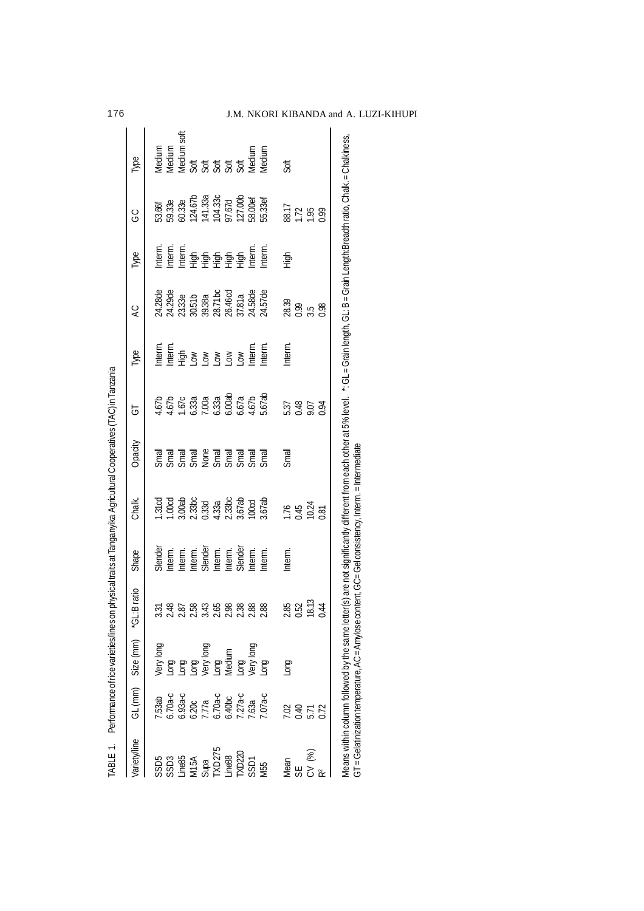| <b>Jarietylline</b>                                                               |                                                                        | GL (mm) Size (mm) "GL:                                             | :Bratio                                                                                                                                                                                                                                                                                             | Shape                                                            | Chalk.                                                       | Opacity | ಕ                                                   | Гуре                                                                                                | $\overline{A}$                                                                | Гуре                                                                                                       | ပ္ပ                                                                             | Гуре                                                                       |
|-----------------------------------------------------------------------------------|------------------------------------------------------------------------|--------------------------------------------------------------------|-----------------------------------------------------------------------------------------------------------------------------------------------------------------------------------------------------------------------------------------------------------------------------------------------------|------------------------------------------------------------------|--------------------------------------------------------------|---------|-----------------------------------------------------|-----------------------------------------------------------------------------------------------------|-------------------------------------------------------------------------------|------------------------------------------------------------------------------------------------------------|---------------------------------------------------------------------------------|----------------------------------------------------------------------------|
|                                                                                   |                                                                        |                                                                    |                                                                                                                                                                                                                                                                                                     |                                                                  |                                                              |         |                                                     |                                                                                                     |                                                                               |                                                                                                            |                                                                                 |                                                                            |
|                                                                                   | 7.53ab<br>6.70a-c<br>6.93a-c<br>6.70a-c<br>6.40bc<br>6.40bc<br>7.03a-c |                                                                    |                                                                                                                                                                                                                                                                                                     | Slender                                                          |                                                              |         |                                                     |                                                                                                     |                                                                               |                                                                                                            |                                                                                 | Medium                                                                     |
|                                                                                   |                                                                        |                                                                    |                                                                                                                                                                                                                                                                                                     |                                                                  |                                                              |         |                                                     |                                                                                                     |                                                                               |                                                                                                            |                                                                                 |                                                                            |
|                                                                                   |                                                                        |                                                                    |                                                                                                                                                                                                                                                                                                     |                                                                  |                                                              |         |                                                     |                                                                                                     |                                                                               |                                                                                                            |                                                                                 |                                                                            |
| SSD5<br>SSD3<br>SSD3<br>MESA SSD5<br>SSD5<br>SSD5<br>SSD5<br>SSD5<br>SSD5<br>SSD5 |                                                                        | Nery long<br>Long<br>Long<br>Long<br>Very long<br>Medium<br>Medium | 55 36 36 36 36 36 36 36 36 36 36 37 38 39 30 31 32 33 34 35 36 37 38 39 30 31 32 33 34 35 35 36 37 38 38 38 39                                                                                                                                                                                      | Interm.<br>Interm.<br>Slender<br>Slenderm.<br>Interm.<br>Slender | 1.31cd<br>1.00cd<br>3.00ab<br>3.333d<br>3.333.87ab<br>1.00cd |         | 4.67b<br>4.67b<br>1.67c<br>5.333a<br>5.67a<br>4.67a | ntern.<br>Let die Song Song Control<br>Let die Song Control Litern.<br>Let die Song Control Litern. | 24.28de<br>24.29de<br>24.33.38a<br>26.30.38a<br>26.46dd<br>24.57de<br>24.57de | tenerie<br>Letten for de la sensibilität<br>Letten for de la sensibilität<br>Letten for de la sensibilität | 53.66f<br>59.33e<br>60.33e<br>124.67b<br>12.57d<br>12.57d<br>55.33ef<br>55.33ef | Medium soft<br>Medium soft<br>Medium<br>Soft of of of officially<br>Medium |
|                                                                                   |                                                                        |                                                                    |                                                                                                                                                                                                                                                                                                     |                                                                  |                                                              |         |                                                     |                                                                                                     |                                                                               |                                                                                                            |                                                                                 |                                                                            |
|                                                                                   |                                                                        |                                                                    |                                                                                                                                                                                                                                                                                                     |                                                                  |                                                              |         |                                                     |                                                                                                     |                                                                               |                                                                                                            |                                                                                 |                                                                            |
|                                                                                   |                                                                        |                                                                    |                                                                                                                                                                                                                                                                                                     |                                                                  |                                                              |         |                                                     |                                                                                                     |                                                                               |                                                                                                            |                                                                                 |                                                                            |
|                                                                                   |                                                                        |                                                                    |                                                                                                                                                                                                                                                                                                     |                                                                  |                                                              |         |                                                     |                                                                                                     |                                                                               |                                                                                                            |                                                                                 |                                                                            |
|                                                                                   |                                                                        |                                                                    |                                                                                                                                                                                                                                                                                                     |                                                                  |                                                              |         |                                                     |                                                                                                     |                                                                               |                                                                                                            |                                                                                 |                                                                            |
|                                                                                   |                                                                        | Long<br>Very long<br>Long                                          | 88                                                                                                                                                                                                                                                                                                  | nterm.                                                           |                                                              |         |                                                     | nterm.                                                                                              |                                                                               | nterm.                                                                                                     |                                                                                 | <b>Medium</b>                                                              |
| Mean                                                                              | 7.02                                                                   | <b>Duo</b>                                                         |                                                                                                                                                                                                                                                                                                     | Interm.                                                          |                                                              | Small   |                                                     | Interm.                                                                                             |                                                                               | 高                                                                                                          |                                                                                 | Soft                                                                       |
| SE                                                                                |                                                                        |                                                                    | 85 PS                                                                                                                                                                                                                                                                                               |                                                                  | $1.76$<br>0.45<br>0.81                                       |         | 0.48                                                |                                                                                                     | 28.39<br>0.99<br>3.5<br>0.98                                                  |                                                                                                            | 88.17<br>1.72<br>1.95<br>0.99                                                   |                                                                            |
| CV (%)                                                                            | $0.40$<br>$5.71$                                                       |                                                                    | 8.13                                                                                                                                                                                                                                                                                                |                                                                  |                                                              |         |                                                     |                                                                                                     |                                                                               |                                                                                                            |                                                                                 |                                                                            |
|                                                                                   | 0.72                                                                   |                                                                    | $\ddot{4}$                                                                                                                                                                                                                                                                                          |                                                                  |                                                              |         | <b>POO</b>                                          |                                                                                                     |                                                                               |                                                                                                            |                                                                                 |                                                                            |
|                                                                                   |                                                                        |                                                                    | Means within column followed by the same letter(s) are not significantly different from each other at 5% level. *: CL = Grain length, GL: B= Grain Length:Breadth ratio, Chalk: = Chalkiness,<br>GT = Gelatinization temperature, AC = Amylose content, GC= Gel consistency, Interm. = Intermediate |                                                                  |                                                              |         |                                                     |                                                                                                     |                                                                               |                                                                                                            |                                                                                 |                                                                            |

176 J.M. NKORI KIBANDA and A. LUZI-KIHUPI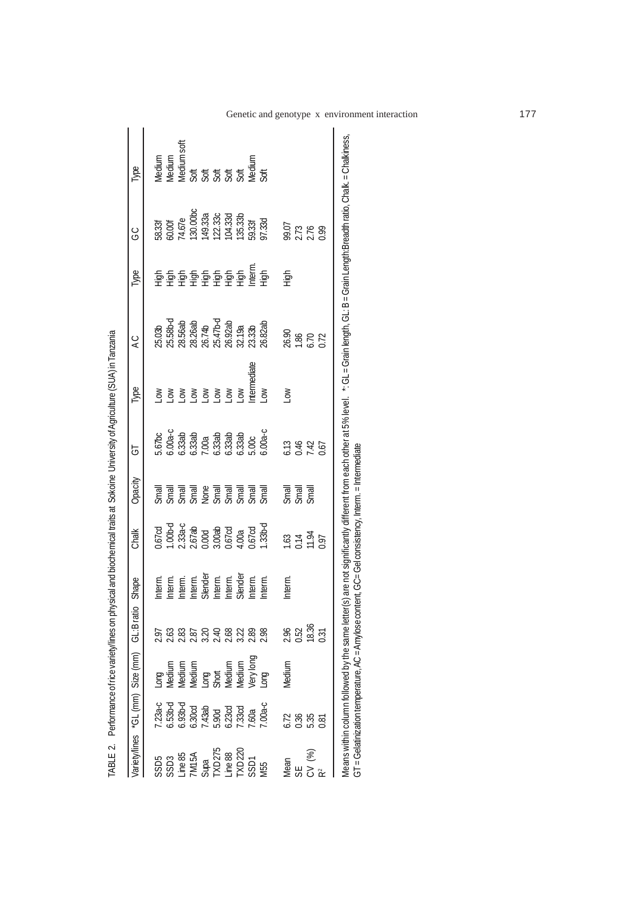|                                                                       | /ariety/lines "GL (mm) Size (mm)                                                                     |                                                                                             | GL:Bratio                                                                                    | Shape                                                                         | Chalk                                                                           | Opacity                                                                                                                                                                                                                                                  | 능                                                                                             | Type        | Q                             | Type                                     | ပ္ပ                                                                                                                                                                      | Type                                                                           |
|-----------------------------------------------------------------------|------------------------------------------------------------------------------------------------------|---------------------------------------------------------------------------------------------|----------------------------------------------------------------------------------------------|-------------------------------------------------------------------------------|---------------------------------------------------------------------------------|----------------------------------------------------------------------------------------------------------------------------------------------------------------------------------------------------------------------------------------------------------|-----------------------------------------------------------------------------------------------|-------------|-------------------------------|------------------------------------------|--------------------------------------------------------------------------------------------------------------------------------------------------------------------------|--------------------------------------------------------------------------------|
|                                                                       |                                                                                                      |                                                                                             |                                                                                              |                                                                               |                                                                                 |                                                                                                                                                                                                                                                          |                                                                                               |             |                               |                                          |                                                                                                                                                                          |                                                                                |
|                                                                       |                                                                                                      |                                                                                             |                                                                                              |                                                                               |                                                                                 |                                                                                                                                                                                                                                                          |                                                                                               |             |                               |                                          |                                                                                                                                                                          |                                                                                |
| SSD5<br>SSD3<br>Jine 85<br>SUPE 88<br>SSD1<br>Jine 88<br>SSD1<br>Vi55 |                                                                                                      |                                                                                             | 0. 3. 3. 9. 9. 9. 9. 9. 9. 9.<br>0. 9. 9. 9. 9. 9. 9. 9. 9. 9.<br>0. 0. 0. 0. 0. 0. 0. 0. 0. | Intern.<br>Intern.<br>Intern.<br>Sendern.<br>Sendern.<br>Sendern.<br>Sendern. |                                                                                 |                                                                                                                                                                                                                                                          |                                                                                               |             |                               |                                          |                                                                                                                                                                          | ledium<br>Bedium soft<br>Bedium soft<br>Bedium of 55<br>Soft Soft Soft<br>Soft |
|                                                                       |                                                                                                      |                                                                                             |                                                                                              |                                                                               |                                                                                 |                                                                                                                                                                                                                                                          |                                                                                               | δŅ          |                               |                                          |                                                                                                                                                                          |                                                                                |
|                                                                       |                                                                                                      |                                                                                             |                                                                                              |                                                                               |                                                                                 |                                                                                                                                                                                                                                                          |                                                                                               | δŅ          |                               |                                          |                                                                                                                                                                          |                                                                                |
|                                                                       |                                                                                                      |                                                                                             |                                                                                              |                                                                               |                                                                                 |                                                                                                                                                                                                                                                          |                                                                                               | ŠΘ          |                               |                                          |                                                                                                                                                                          |                                                                                |
|                                                                       |                                                                                                      |                                                                                             |                                                                                              |                                                                               |                                                                                 |                                                                                                                                                                                                                                                          |                                                                                               | ŠΘ          |                               |                                          |                                                                                                                                                                          |                                                                                |
|                                                                       |                                                                                                      |                                                                                             |                                                                                              |                                                                               |                                                                                 |                                                                                                                                                                                                                                                          |                                                                                               | $\geq$      |                               |                                          |                                                                                                                                                                          |                                                                                |
|                                                                       |                                                                                                      |                                                                                             |                                                                                              |                                                                               |                                                                                 |                                                                                                                                                                                                                                                          |                                                                                               | ntermediate |                               |                                          |                                                                                                                                                                          |                                                                                |
|                                                                       | $7.23a-c$<br>6.53b - 4.30cd<br>6.90cd<br>6.30cd<br>5.90cd<br>5.00a - 4.33cd<br>7.00a - 7.00a - 7.00a | Long<br>Medium<br>Medium<br>Medium<br>Long<br>Short<br>Medium<br>Medium<br>Medium<br>Medium |                                                                                              |                                                                               | 0.67cd<br>1.00b-d<br>2.33a-c<br>2.33a-c<br>2.67cd<br>3.00a<br>0.67cd<br>1.33b-d | Smail<br>Smail and Belangraph<br>Smail and Belangraph<br>Smail and Belangraph                                                                                                                                                                            | $3.67bc$<br>$0.00a-c$<br>$0.33ab$<br>$0.33ab$<br>$0.33ab$<br>$0.00a$<br>$0.33ab$<br>$0.00a-c$ | δŅ          |                               | ម្លាំ មិនមិនមិនមិន<br>មិនមិនមិនមិនមិនមិន | $\begin{array}{l} 38.33f\\ 50.00f\\ 74.67e\\ 130.00bc\\ 149.33a\\ 122.33c\\ 104.33d\\ 150.33f\\ 150.33f\\ 150.33f\\ 150.33f\\ 150.33f\\ 150.33f\\ 150.33f\\ \end{array}$ |                                                                                |
| lean                                                                  | 5.72                                                                                                 | Medium                                                                                      |                                                                                              | nterm.                                                                        |                                                                                 |                                                                                                                                                                                                                                                          |                                                                                               | $\delta$    |                               | $\frac{5}{5}$                            |                                                                                                                                                                          |                                                                                |
|                                                                       | 0.36                                                                                                 |                                                                                             |                                                                                              |                                                                               |                                                                                 | $\frac{1}{2}$<br>$\frac{1}{2}$<br>$\frac{1}{2}$<br>$\frac{1}{2}$<br>$\frac{1}{2}$<br>$\frac{1}{2}$<br>$\frac{1}{2}$<br>$\frac{1}{2}$<br><br><br><br><br><br><br><br><br><br><br><br><br><br><br><br><br><br><br><br><br><br><br><br><br><br><br><br><br> |                                                                                               |             |                               |                                          |                                                                                                                                                                          |                                                                                |
| CV (%)                                                                | 5.35                                                                                                 |                                                                                             | 2.96<br>0.52<br>0.31                                                                         |                                                                               | 1.63<br>D.14<br>D.94<br>D.97                                                    |                                                                                                                                                                                                                                                          | 6.13<br>0.40<br>0.67                                                                          |             | 26.90<br>1.86<br>5.72<br>0.72 |                                          | 99.07<br>2.73<br>2.76<br>0.99                                                                                                                                            |                                                                                |
|                                                                       | ).81                                                                                                 |                                                                                             |                                                                                              |                                                                               |                                                                                 |                                                                                                                                                                                                                                                          |                                                                                               |             |                               |                                          |                                                                                                                                                                          |                                                                                |

TABLE 2. Performance of rice variety/lines on physical and biochemical traits at Sokoine University of Agriculture (SUA) in Tanzania TABLE 2. Performance of rice variety/lines on physical and biochemical traits at Sokoine University of Agriculture (SUA) in Tanzania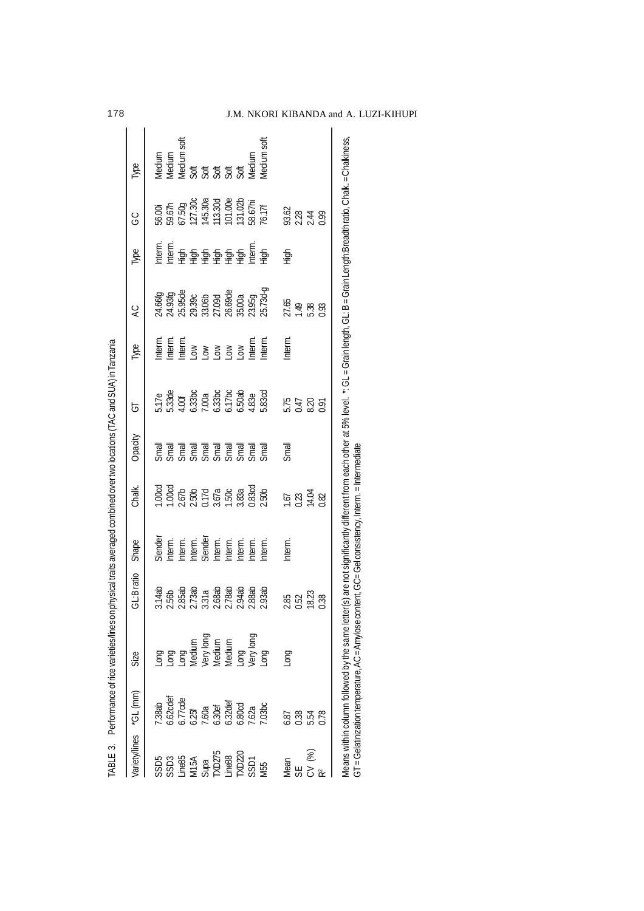| er(s) are not significantly different from each other at 5% level. *: GL = Grain length, GL: B = Grain Length: Breadth ratio, Chalk: = Chalkiness,<br>24.66fg<br>24.93fg<br>25.95.8%<br>25.93.060<br>26.69de<br>26.69de<br>26.93.939.93<br>27.65<br>1.49<br>5.38<br>0.93<br>Interm.<br>nterm.<br>Interm.<br>Interm.<br>ntern.<br>Low<br>Low<br>Low<br>Low Lotern.<br>$\frac{1}{13}$ .17e<br>$\frac{1}{3}$ .330c<br>$\frac{1}{2}$ .330c<br>$\frac{1}{2}$ .330c<br>$\frac{1}{2}$ .50ab<br>$\frac{1}{2}$ .83e<br>5.83cd<br>5.47<br>0.47<br>0.97<br>na mana manakang kalendar karena dalam<br>Kalendar mengalikan karena dalam kalendar karena dalam kalendar dalam kalendar dalam kalendar dalam kalendar<br>Kalendar dan kalendar dalam kalendar dan kalendar dan kalendar dan kalenda<br>Small<br>1.00cd<br>1.00cd<br>2.50b<br>2.50a<br>1.50cd<br>2.50b<br>2.50b<br>$1.67$<br>0.23<br>14.04<br>0.82<br>Slender<br>Interm.<br>Interm.<br>Slenderm.<br>Slenderm.<br>Interm.<br>Interm.<br>Interm.<br>3.14ab<br>2.56b<br>2.85ab 3.31a<br>2.88ab 3.2.84ab<br>3.88ab 3.31ab 3.88ab<br>2.93ab<br>2.85<br>0.52<br>18.23<br>0.38<br>Means within column followed by the same lett<br>Long<br>Long<br>Long<br>Medium<br>Vledium<br>Medium<br>Medium<br>Long<br>Very long<br>Long<br><b>Buo</b><br>6.62cdef<br>6.77cde<br>6.25f<br>6.30ef<br>6.30ef<br>6.30cd<br>6.80cd<br>7.38ab<br>7.03 <sub>bc</sub><br>0.38<br>5.54<br>6.87<br>0.78<br>CV (%)<br>SSD5<br>SSD3 54<br>SSD3 54<br>SSD275<br>SSD5<br>SSD5<br>SSD5<br>SSD5<br>SSD5<br>SSD5<br>Mean<br>SE | Variety/lines "GL (mm) | Size | GL:Bratio | Shape | Chalk. | Opacity | 5 | Type | $\overline{C}$ | Type | ပ<br>ပ                                                                 | Type                                                                       |
|----------------------------------------------------------------------------------------------------------------------------------------------------------------------------------------------------------------------------------------------------------------------------------------------------------------------------------------------------------------------------------------------------------------------------------------------------------------------------------------------------------------------------------------------------------------------------------------------------------------------------------------------------------------------------------------------------------------------------------------------------------------------------------------------------------------------------------------------------------------------------------------------------------------------------------------------------------------------------------------------------------------------------------------------------------------------------------------------------------------------------------------------------------------------------------------------------------------------------------------------------------------------------------------------------------------------------------------------------------------------------------------------------------------------------------------------------------------------------------------------------------------------------------------------|------------------------|------|-----------|-------|--------|---------|---|------|----------------|------|------------------------------------------------------------------------|----------------------------------------------------------------------------|
|                                                                                                                                                                                                                                                                                                                                                                                                                                                                                                                                                                                                                                                                                                                                                                                                                                                                                                                                                                                                                                                                                                                                                                                                                                                                                                                                                                                                                                                                                                                                              |                        |      |           |       |        |         |   |      |                |      |                                                                        |                                                                            |
|                                                                                                                                                                                                                                                                                                                                                                                                                                                                                                                                                                                                                                                                                                                                                                                                                                                                                                                                                                                                                                                                                                                                                                                                                                                                                                                                                                                                                                                                                                                                              |                        |      |           |       |        |         |   |      |                |      |                                                                        |                                                                            |
|                                                                                                                                                                                                                                                                                                                                                                                                                                                                                                                                                                                                                                                                                                                                                                                                                                                                                                                                                                                                                                                                                                                                                                                                                                                                                                                                                                                                                                                                                                                                              |                        |      |           |       |        |         |   |      |                |      |                                                                        |                                                                            |
|                                                                                                                                                                                                                                                                                                                                                                                                                                                                                                                                                                                                                                                                                                                                                                                                                                                                                                                                                                                                                                                                                                                                                                                                                                                                                                                                                                                                                                                                                                                                              |                        |      |           |       |        |         |   |      |                |      |                                                                        |                                                                            |
|                                                                                                                                                                                                                                                                                                                                                                                                                                                                                                                                                                                                                                                                                                                                                                                                                                                                                                                                                                                                                                                                                                                                                                                                                                                                                                                                                                                                                                                                                                                                              |                        |      |           |       |        |         |   |      |                |      |                                                                        |                                                                            |
|                                                                                                                                                                                                                                                                                                                                                                                                                                                                                                                                                                                                                                                                                                                                                                                                                                                                                                                                                                                                                                                                                                                                                                                                                                                                                                                                                                                                                                                                                                                                              |                        |      |           |       |        |         |   |      |                |      |                                                                        |                                                                            |
|                                                                                                                                                                                                                                                                                                                                                                                                                                                                                                                                                                                                                                                                                                                                                                                                                                                                                                                                                                                                                                                                                                                                                                                                                                                                                                                                                                                                                                                                                                                                              |                        |      |           |       |        |         |   |      |                |      |                                                                        |                                                                            |
|                                                                                                                                                                                                                                                                                                                                                                                                                                                                                                                                                                                                                                                                                                                                                                                                                                                                                                                                                                                                                                                                                                                                                                                                                                                                                                                                                                                                                                                                                                                                              |                        |      |           |       |        |         |   |      |                |      | 56.00i<br>59.67h<br>67.30g<br>67.30a<br>113.30d<br>1101.00e<br>58.67hi | Medium<br>Medium soft<br>Medium soft<br>Medium<br>Soft Soft Soft<br>Medium |
|                                                                                                                                                                                                                                                                                                                                                                                                                                                                                                                                                                                                                                                                                                                                                                                                                                                                                                                                                                                                                                                                                                                                                                                                                                                                                                                                                                                                                                                                                                                                              |                        |      |           |       |        |         |   |      |                |      |                                                                        |                                                                            |
|                                                                                                                                                                                                                                                                                                                                                                                                                                                                                                                                                                                                                                                                                                                                                                                                                                                                                                                                                                                                                                                                                                                                                                                                                                                                                                                                                                                                                                                                                                                                              |                        |      |           |       |        |         |   |      |                |      |                                                                        |                                                                            |
|                                                                                                                                                                                                                                                                                                                                                                                                                                                                                                                                                                                                                                                                                                                                                                                                                                                                                                                                                                                                                                                                                                                                                                                                                                                                                                                                                                                                                                                                                                                                              |                        |      |           |       |        |         |   |      |                |      | 76.17                                                                  | <b><i><u>Aedium</u></i></b> soft                                           |
|                                                                                                                                                                                                                                                                                                                                                                                                                                                                                                                                                                                                                                                                                                                                                                                                                                                                                                                                                                                                                                                                                                                                                                                                                                                                                                                                                                                                                                                                                                                                              |                        |      |           |       |        |         |   |      |                |      |                                                                        |                                                                            |
|                                                                                                                                                                                                                                                                                                                                                                                                                                                                                                                                                                                                                                                                                                                                                                                                                                                                                                                                                                                                                                                                                                                                                                                                                                                                                                                                                                                                                                                                                                                                              |                        |      |           |       |        |         |   |      |                | High |                                                                        |                                                                            |
|                                                                                                                                                                                                                                                                                                                                                                                                                                                                                                                                                                                                                                                                                                                                                                                                                                                                                                                                                                                                                                                                                                                                                                                                                                                                                                                                                                                                                                                                                                                                              |                        |      |           |       |        |         |   |      |                |      |                                                                        |                                                                            |
|                                                                                                                                                                                                                                                                                                                                                                                                                                                                                                                                                                                                                                                                                                                                                                                                                                                                                                                                                                                                                                                                                                                                                                                                                                                                                                                                                                                                                                                                                                                                              |                        |      |           |       |        |         |   |      |                |      | 93.62<br>2.28<br>2.44<br>0.0                                           |                                                                            |
|                                                                                                                                                                                                                                                                                                                                                                                                                                                                                                                                                                                                                                                                                                                                                                                                                                                                                                                                                                                                                                                                                                                                                                                                                                                                                                                                                                                                                                                                                                                                              |                        |      |           |       |        |         |   |      |                |      |                                                                        |                                                                            |
| GT = Gelatinization temperature, AC = Amylose content, GC= Gel consistency, Interm. = Intermediate                                                                                                                                                                                                                                                                                                                                                                                                                                                                                                                                                                                                                                                                                                                                                                                                                                                                                                                                                                                                                                                                                                                                                                                                                                                                                                                                                                                                                                           |                        |      |           |       |        |         |   |      |                |      |                                                                        |                                                                            |

178 J.M. NKORI KIBANDA and A. LUZI-KIHUPI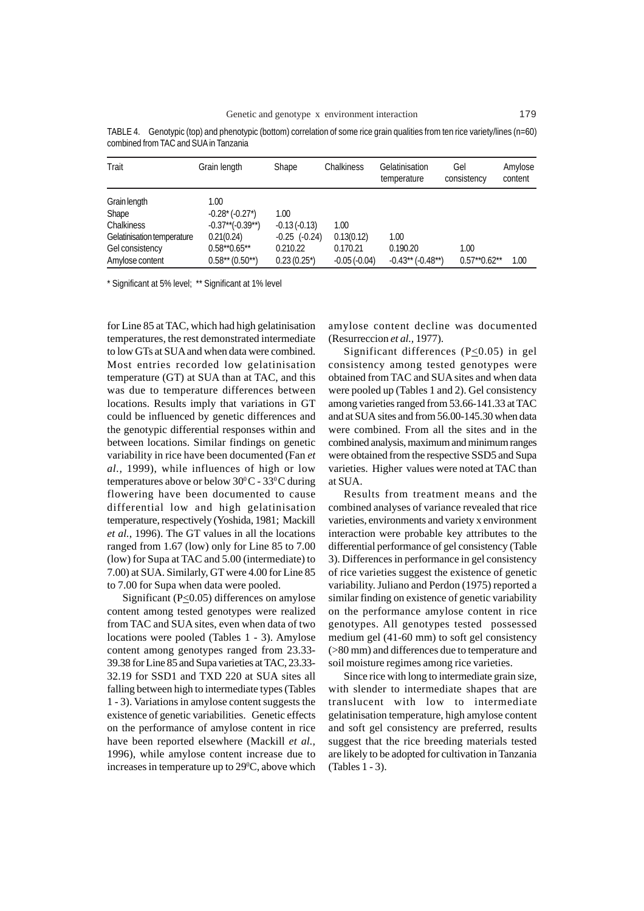| Trait                                         | Grain length                                      | Shape                         | Chalkiness             | Gelatinisation<br>temperature | Gel<br>consistency | Amylose<br>content |
|-----------------------------------------------|---------------------------------------------------|-------------------------------|------------------------|-------------------------------|--------------------|--------------------|
| Grain length<br>Shape<br>Chalkiness           | 1.00<br>$-0.28*(-0.27^{*})$<br>$-0.37**(-0.39**)$ | 1.00<br>$-0.13(-0.13)$        | 1.00                   |                               |                    |                    |
| Gelatinisation temperature<br>Gel consistency | 0.21(0.24)<br>$0.58**0.65**$                      | $-0.25$ $(-0.24)$<br>0.210.22 | 0.13(0.12)<br>0.170.21 | 1.00<br>0.190.20              | 1.00               |                    |
| Amylose content                               | $0.58**$ (0.50**)                                 | $0.23(0.25^{*})$              | $-0.05(-0.04)$         | $-0.43**$ ( $-0.48**$ )       | $0.57**0.62**$     | 1.00               |

TABLE 4. Genotypic (top) and phenotypic (bottom) correlation of some rice grain qualities from ten rice variety/lines (n=60) combined from TAC and SUA in Tanzania

\* Significant at 5% level; \*\* Significant at 1% level

for Line 85 at TAC, which had high gelatinisation temperatures, the rest demonstrated intermediate to low GTs at SUA and when data were combined. Most entries recorded low gelatinisation temperature (GT) at SUA than at TAC, and this was due to temperature differences between locations. Results imply that variations in GT could be influenced by genetic differences and the genotypic differential responses within and between locations. Similar findings on genetic variability in rice have been documented (Fan *et al.,* 1999), while influences of high or low temperatures above or below  $30^{\circ}$ C -  $33^{\circ}$ C during flowering have been documented to cause differential low and high gelatinisation temperature, respectively (Yoshida, 1981; Mackill *et al.*, 1996). The GT values in all the locations ranged from 1.67 (low) only for Line 85 to 7.00 (low) for Supa at TAC and 5.00 (intermediate) to 7.00) at SUA. Similarly, GT were 4.00 for Line 85 to 7.00 for Supa when data were pooled.

Significant (P<0.05) differences on amylose content among tested genotypes were realized from TAC and SUA sites, even when data of two locations were pooled (Tables 1 - 3). Amylose content among genotypes ranged from 23.33- 39.38 for Line 85 and Supa varieties at TAC, 23.33- 32.19 for SSD1 and TXD 220 at SUA sites all falling between high to intermediate types (Tables 1 - 3). Variations in amylose content suggests the existence of genetic variabilities. Genetic effects on the performance of amylose content in rice have been reported elsewhere (Mackill *et al.,* 1996), while amylose content increase due to increases in temperature up to  $29^{\circ}$ C, above which

amylose content decline was documented (Resurreccion *et al.,* 1977).

Significant differences (P<0.05) in gel consistency among tested genotypes were obtained from TAC and SUA sites and when data were pooled up (Tables 1 and 2). Gel consistency among varieties ranged from 53.66-141.33 at TAC and at SUA sites and from 56.00-145.30 when data were combined. From all the sites and in the combined analysis, maximum and minimum ranges were obtained from the respective SSD5 and Supa varieties. Higher values were noted at TAC than at SUA.

Results from treatment means and the combined analyses of variance revealed that rice varieties, environments and variety x environment interaction were probable key attributes to the differential performance of gel consistency (Table 3). Differences in performance in gel consistency of rice varieties suggest the existence of genetic variability. Juliano and Perdon (1975) reported a similar finding on existence of genetic variability on the performance amylose content in rice genotypes. All genotypes tested possessed medium gel (41-60 mm) to soft gel consistency (>80 mm) and differences due to temperature and soil moisture regimes among rice varieties.

Since rice with long to intermediate grain size, with slender to intermediate shapes that are translucent with low to intermediate gelatinisation temperature, high amylose content and soft gel consistency are preferred, results suggest that the rice breeding materials tested are likely to be adopted for cultivation in Tanzania (Tables 1 - 3).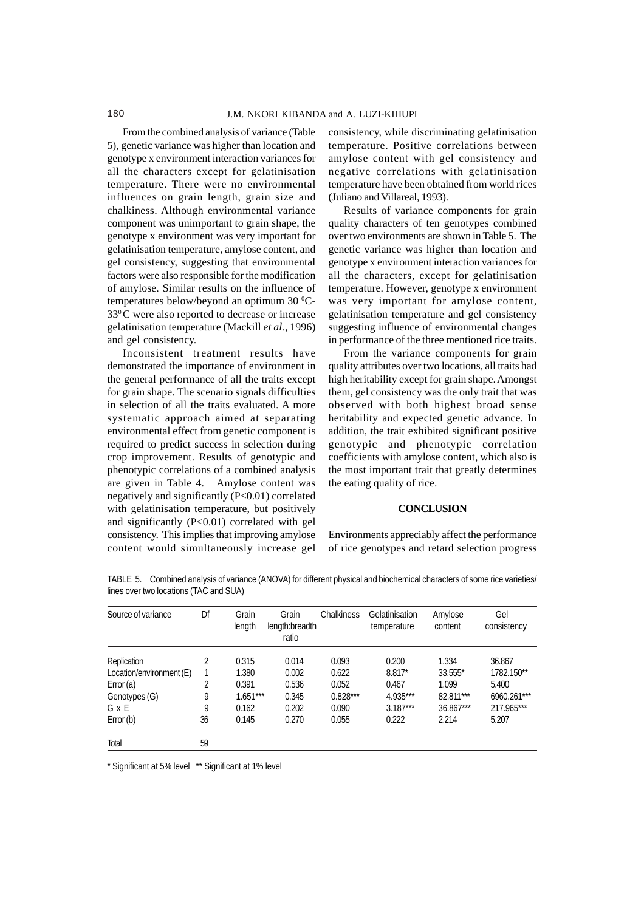From the combined analysis of variance (Table 5), genetic variance was higher than location and genotype x environment interaction variances for all the characters except for gelatinisation temperature. There were no environmental influences on grain length, grain size and chalkiness. Although environmental variance component was unimportant to grain shape, the genotype x environment was very important for gelatinisation temperature, amylose content, and gel consistency, suggesting that environmental factors were also responsible for the modification of amylose. Similar results on the influence of temperatures below/beyond an optimum  $30^{\circ}$ C-330 C were also reported to decrease or increase gelatinisation temperature (Mackill *et al.,* 1996) and gel consistency.

Inconsistent treatment results have demonstrated the importance of environment in the general performance of all the traits except for grain shape. The scenario signals difficulties in selection of all the traits evaluated. A more systematic approach aimed at separating environmental effect from genetic component is required to predict success in selection during crop improvement. Results of genotypic and phenotypic correlations of a combined analysis are given in Table 4. Amylose content was negatively and significantly (P<0.01) correlated with gelatinisation temperature, but positively and significantly (P<0.01) correlated with gel consistency. This implies that improving amylose content would simultaneously increase gel

consistency, while discriminating gelatinisation temperature. Positive correlations between amylose content with gel consistency and negative correlations with gelatinisation temperature have been obtained from world rices (Juliano and Villareal, 1993).

Results of variance components for grain quality characters of ten genotypes combined over two environments are shown in Table 5. The genetic variance was higher than location and genotype x environment interaction variances for all the characters, except for gelatinisation temperature. However, genotype x environment was very important for amylose content, gelatinisation temperature and gel consistency suggesting influence of environmental changes in performance of the three mentioned rice traits.

From the variance components for grain quality attributes over two locations, all traits had high heritability except for grain shape. Amongst them, gel consistency was the only trait that was observed with both highest broad sense heritability and expected genetic advance. In addition, the trait exhibited significant positive genotypic and phenotypic correlation coefficients with amylose content, which also is the most important trait that greatly determines the eating quality of rice.

#### **CONCLUSION**

Environments appreciably affect the performance of rice genotypes and retard selection progress

| Source of variance       | Df | Grain<br>length | Grain<br>length:breadth<br>ratio | Chalkiness | Gelatinisation<br>temperature | Amylose<br>content | Gel<br>consistency |
|--------------------------|----|-----------------|----------------------------------|------------|-------------------------------|--------------------|--------------------|
| Replication              | 2  | 0.315           | 0.014                            | 0.093      | 0.200                         | 1.334              | 36.867             |
| Location/environment (E) |    | 1.380           | 0.002                            | 0.622      | $8.817*$                      | 33.555*            | 1782.150**         |
| Error (a)                | 2  | 0.391           | 0.536                            | 0.052      | 0.467                         | 1.099              | 5.400              |
| Genotypes (G)            | 9  | $1.651***$      | 0.345                            | $0.828***$ | 4.935***                      | 82.811***          | 6960.261***        |
| G x E                    | 9  | 0.162           | 0.202                            | 0.090      | $3.187***$                    | 36.867***          | 217.965***         |
| Error (b)                | 36 | 0.145           | 0.270                            | 0.055      | 0.222                         | 2.214              | 5.207              |
| Total                    | 59 |                 |                                  |            |                               |                    |                    |

TABLE 5. Combined analysis of variance (ANOVA) for different physical and biochemical characters of some rice varieties/ lines over two locations (TAC and SUA)

\* Significant at 5% level \*\* Significant at 1% level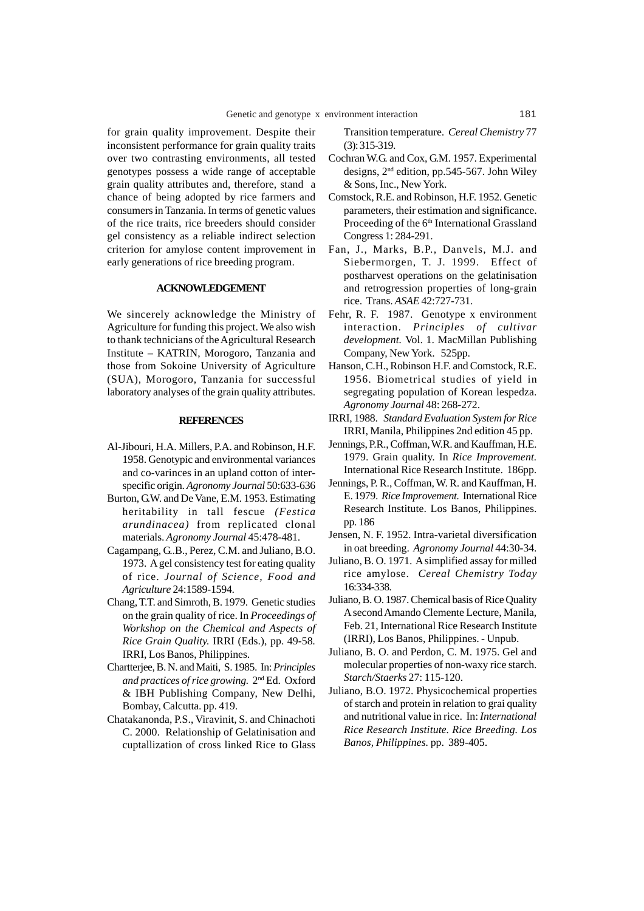for grain quality improvement. Despite their inconsistent performance for grain quality traits over two contrasting environments, all tested genotypes possess a wide range of acceptable grain quality attributes and, therefore, stand a chance of being adopted by rice farmers and consumers in Tanzania. In terms of genetic values of the rice traits, rice breeders should consider gel consistency as a reliable indirect selection criterion for amylose content improvement in early generations of rice breeding program.

#### **ACKNOWLEDGEMENT**

We sincerely acknowledge the Ministry of Agriculture for funding this project. We also wish to thank technicians of the Agricultural Research Institute – KATRIN, Morogoro, Tanzania and those from Sokoine University of Agriculture (SUA), Morogoro, Tanzania for successful laboratory analyses of the grain quality attributes.

#### **REFERENCES**

- Al-Jibouri, H.A. Millers, P.A. and Robinson, H.F. 1958. Genotypic and environmental variances and co-varinces in an upland cotton of interspecific origin. *Agronomy Journal* 50:633-636
- Burton, G.W. and De Vane, E.M. 1953. Estimating heritability in tall fescue *(Festica arundinacea)* from replicated clonal materials. *Agronomy Journal* 45:478-481.
- Cagampang, G..B., Perez, C.M. and Juliano, B.O. 1973. A gel consistency test for eating quality of rice. *Journal of Science, Food and Agriculture* 24:1589-1594.
- Chang, T.T. and Simroth, B. 1979. Genetic studies on the grain quality of rice. In *Proceedings of Workshop on the Chemical and Aspects of Rice Grain Quality.* IRRI (Eds.), pp. 49-58*.* IRRI, Los Banos, Philippines.
- Chartterjee, B. N. and Maiti, S. 1985. In: *Principles and practices of rice growing.* 2nd Ed. Oxford & IBH Publishing Company, New Delhi, Bombay, Calcutta. pp. 419.
- Chatakanonda, P.S., Viravinit, S. and Chinachoti C. 2000. Relationship of Gelatinisation and cuptallization of cross linked Rice to Glass

Transition temperature. *Cereal Chemistry* 77 (3): 315-319.

- Cochran W.G. and Cox, G.M. 1957. Experimental designs, 2nd edition, pp.545-567. John Wiley & Sons, Inc., New York.
- Comstock, R.E. and Robinson, H.F. 1952. Genetic parameters, their estimation and significance. Proceeding of the 6<sup>th</sup> International Grassland Congress 1: 284-291.
- Fan, J., Marks, B.P., Danvels, M.J. and Siebermorgen, T. J. 1999. Effect of postharvest operations on the gelatinisation and retrogression properties of long-grain rice. Trans. *ASAE* 42:727-731.
- Fehr, R. F. 1987. Genotype x environment interaction. *Principles of cultivar development.* Vol. 1. MacMillan Publishing Company, New York. 525pp.
- Hanson, C.H., Robinson H.F. and Comstock, R.E. 1956. Biometrical studies of yield in segregating population of Korean lespedza. *Agronomy Journal* 48: 268-272.
- IRRI, 1988. *Standard Evaluation System for Rice* IRRI, Manila, Philippines 2nd edition 45 pp.
- Jennings, P.R., Coffman, W.R. and Kauffman, H.E. 1979. Grain quality. In *Rice Improvement.* International Rice Research Institute. 186pp.
- Jennings, P. R., Coffman, W. R. and Kauffman, H. E. 1979. *Rice Improvement.* International Rice Research Institute. Los Banos, Philippines. pp. 186
- Jensen, N. F. 1952. Intra-varietal diversification in oat breeding. *Agronomy Journal* 44:30-34.
- Juliano, B. O. 1971. A simplified assay for milled rice amylose. *Cereal Chemistry Today* 16:334-338.
- Juliano, B. O. 1987. Chemical basis of Rice Quality A second Amando Clemente Lecture, Manila, Feb. 21, International Rice Research Institute (IRRI), Los Banos, Philippines. - Unpub.
- Juliano, B. O. and Perdon, C. M. 1975. Gel and molecular properties of non-waxy rice starch. *Starch/Staerks* 27: 115-120.
- Juliano, B.O. 1972. Physicochemical properties of starch and protein in relation to grai quality and nutritional value in rice. In: *International Rice Research Institute. Rice Breeding. Los Banos, Philippines.* pp. 389-405.